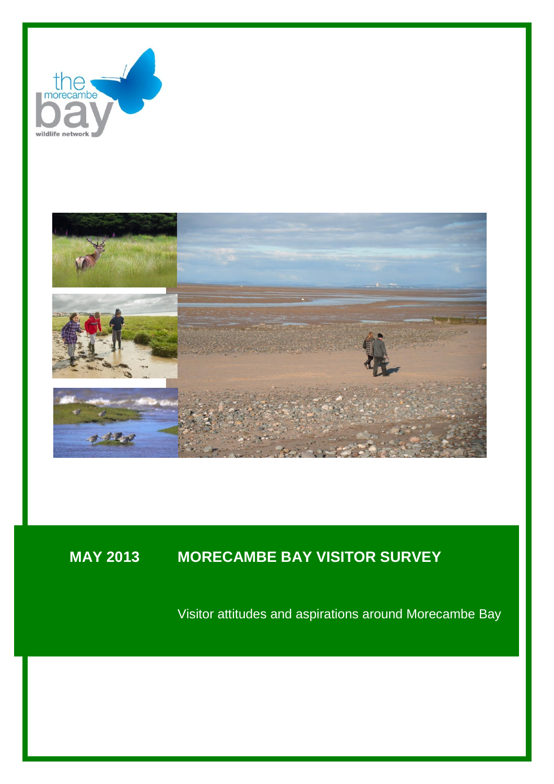



# **MAY 2013 MORECAMBE BAY VISITOR SURVEY**

Visitor attitudes and aspirations around Morecambe Bay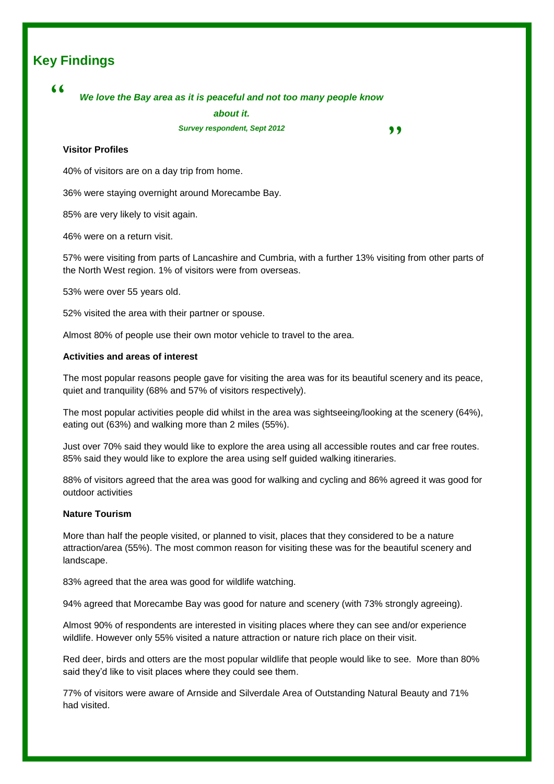# **Key Findings**

# "

# *We love the Bay area as it is peaceful and not too many people know*

*about it.*

*Survey respondent, Sept 2012*

,,

## **Visitor Profiles**

40% of visitors are on a day trip from home.

36% were staying overnight around Morecambe Bay.

85% are very likely to visit again.

46% were on a return visit.

57% were visiting from parts of Lancashire and Cumbria, with a further 13% visiting from other parts of the North West region. 1% of visitors were from overseas.

53% were over 55 years old.

52% visited the area with their partner or spouse.

Almost 80% of people use their own motor vehicle to travel to the area.

#### **Activities and areas of interest**

The most popular reasons people gave for visiting the area was for its beautiful scenery and its peace, quiet and tranquility (68% and 57% of visitors respectively).

The most popular activities people did whilst in the area was sightseeing/looking at the scenery (64%), eating out (63%) and walking more than 2 miles (55%).

Just over 70% said they would like to explore the area using all accessible routes and car free routes. 85% said they would like to explore the area using self guided walking itineraries.

88% of visitors agreed that the area was good for walking and cycling and 86% agreed it was good for outdoor activities

#### **Nature Tourism**

More than half the people visited, or planned to visit, places that they considered to be a nature attraction/area (55%). The most common reason for visiting these was for the beautiful scenery and landscape.

83% agreed that the area was good for wildlife watching.

94% agreed that Morecambe Bay was good for nature and scenery (with 73% strongly agreeing).

Almost 90% of respondents are interested in visiting places where they can see and/or experience wildlife. However only 55% visited a nature attraction or nature rich place on their visit.

Red deer, birds and otters are the most popular wildlife that people would like to see. More than 80% said they'd like to visit places where they could see them.

77% of visitors were aware of Arnside and Silverdale Area of Outstanding Natural Beauty and 71% had visited.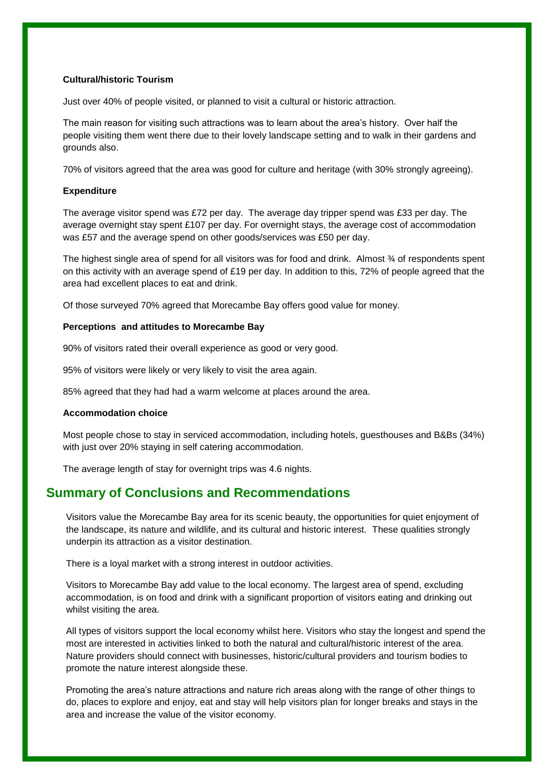## **Cultural/historic Tourism**

Just over 40% of people visited, or planned to visit a cultural or historic attraction.

The main reason for visiting such attractions was to learn about the area's history. Over half the people visiting them went there due to their lovely landscape setting and to walk in their gardens and grounds also.

70% of visitors agreed that the area was good for culture and heritage (with 30% strongly agreeing).

#### **Expenditure**

The average visitor spend was £72 per day. The average day tripper spend was £33 per day. The average overnight stay spent £107 per day. For overnight stays, the average cost of accommodation was £57 and the average spend on other goods/services was £50 per day.

The highest single area of spend for all visitors was for food and drink. Almost % of respondents spent on this activity with an average spend of £19 per day. In addition to this, 72% of people agreed that the area had excellent places to eat and drink.

Of those surveyed 70% agreed that Morecambe Bay offers good value for money.

### **Perceptions and attitudes to Morecambe Bay**

90% of visitors rated their overall experience as good or very good.

95% of visitors were likely or very likely to visit the area again.

85% agreed that they had had a warm welcome at places around the area.

### **Accommodation choice**

Most people chose to stay in serviced accommodation, including hotels, guesthouses and B&Bs (34%) with just over 20% staying in self catering accommodation.

The average length of stay for overnight trips was 4.6 nights.

# **Summary of Conclusions and Recommendations**

Visitors value the Morecambe Bay area for its scenic beauty, the opportunities for quiet enjoyment of the landscape, its nature and wildlife, and its cultural and historic interest. These qualities strongly underpin its attraction as a visitor destination.

There is a loyal market with a strong interest in outdoor activities.

Visitors to Morecambe Bay add value to the local economy. The largest area of spend, excluding accommodation, is on food and drink with a significant proportion of visitors eating and drinking out whilst visiting the area.

All types of visitors support the local economy whilst here. Visitors who stay the longest and spend the most are interested in activities linked to both the natural and cultural/historic interest of the area. Nature providers should connect with businesses, historic/cultural providers and tourism bodies to promote the nature interest alongside these.

Promoting the area's nature attractions and nature rich areas along with the range of other things to do, places to explore and enjoy, eat and stay will help visitors plan for longer breaks and stays in the area and increase the value of the visitor economy.